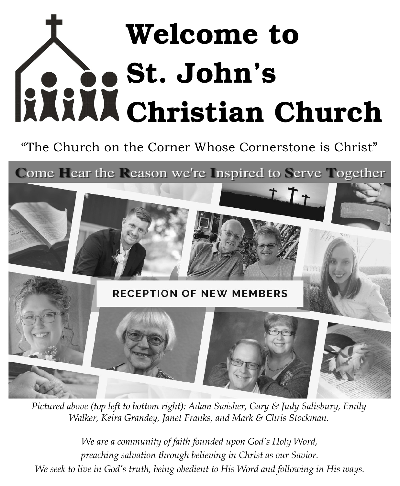# Welcome to St. John's Christian Church

"The Church on the Corner Whose Cornerstone is Christ"

Come Hear the Reason we're Inspired to Serve Together



*Pictured above (top left to bottom right): Adam Swisher, Gary & Judy Salisbury, Emily Walker, Keira Grandey, Janet Franks, and Mark & Chris Stockman.*

*We are a community of faith founded upon God's Holy Word, preaching salvation through believing in Christ as our Savior. We seek to live in God's truth, being obedient to His Word and following in His ways.*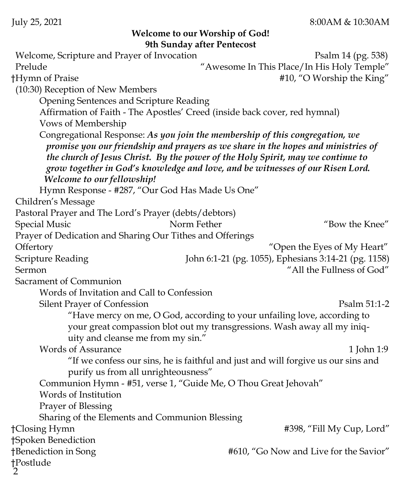#### **Welcome to our Worship of God! 9th Sunday after Pentecost**

2 Welcome, Scripture and Prayer of Invocation Psalm 14 (pg. 538) Prelude "Awesome In This Place/In His Holy Temple" †Hymn of Praise #10, "O Worship the King" (10:30) Reception of New Members Opening Sentences and Scripture Reading Affirmation of Faith - The Apostles' Creed (inside back cover, red hymnal) Vows of Membership Congregational Response: *As you join the membership of this congregation, we promise you our friendship and prayers as we share in the hopes and ministries of the church of Jesus Christ. By the power of the Holy Spirit, may we continue to grow together in God's knowledge and love, and be witnesses of our Risen Lord. Welcome to our fellowship!*  Hymn Response - #287, "Our God Has Made Us One" Children's Message Pastoral Prayer and The Lord's Prayer (debts/debtors) Special Music Norm Fether "Bow the Knee" Prayer of Dedication and Sharing Our Tithes and Offerings Offertory "Open the Eyes of My Heart" Scripture Reading John 6:1-21 (pg. 1055), Ephesians 3:14-21 (pg. 1158) Sermon "All the Fullness of God" Sacrament of Communion Words of Invitation and Call to Confession Silent Prayer of Confession **Properties** Psalm 51:1-2 "Have mercy on me, O God, according to your unfailing love, according to your great compassion blot out my transgressions. Wash away all my iniquity and cleanse me from my sin." Words of Assurance 1 1 and 1:9 "If we confess our sins, he is faithful and just and will forgive us our sins and purify us from all unrighteousness" Communion Hymn - #51, verse 1, "Guide Me, O Thou Great Jehovah" Words of Institution Prayer of Blessing Sharing of the Elements and Communion Blessing †Closing Hymn #398, "Fill My Cup, Lord" †Spoken Benediction †Benediction in Song #610, "Go Now and Live for the Savior" †Postlude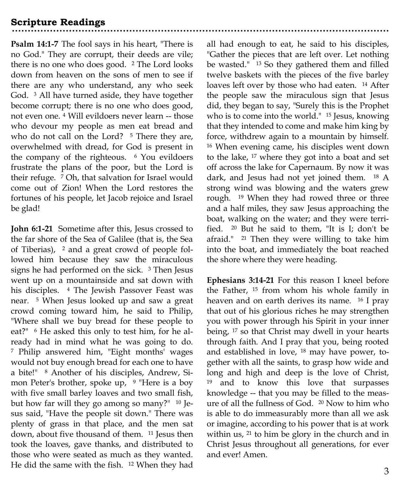**Psalm 14:1-7** The fool says in his heart, "There is no God." They are corrupt, their deeds are vile; there is no one who does good. <sup>2</sup> The Lord looks down from heaven on the sons of men to see if there are any who understand, any who seek God. <sup>3</sup> All have turned aside, they have together become corrupt; there is no one who does good, not even one. <sup>4</sup> Will evildoers never learn -- those who devour my people as men eat bread and who do not call on the Lord? <sup>5</sup> There they are, overwhelmed with dread, for God is present in the company of the righteous. <sup>6</sup> You evildoers frustrate the plans of the poor, but the Lord is their refuge. <sup>7</sup> Oh, that salvation for Israel would come out of Zion! When the Lord restores the fortunes of his people, let Jacob rejoice and Israel be glad!

**John 6:1-21** Sometime after this, Jesus crossed to the far shore of the Sea of Galilee (that is, the Sea of Tiberias), <sup>2</sup> and a great crowd of people followed him because they saw the miraculous signs he had performed on the sick. <sup>3</sup> Then Jesus went up on a mountainside and sat down with his disciples. <sup>4</sup> The Jewish Passover Feast was near. <sup>5</sup> When Jesus looked up and saw a great crowd coming toward him, he said to Philip, "Where shall we buy bread for these people to eat?" <sup>6</sup> He asked this only to test him, for he already had in mind what he was going to do. <sup>7</sup> Philip answered him, "Eight months' wages would not buy enough bread for each one to have a bite!" <sup>8</sup> Another of his disciples, Andrew, Simon Peter's brother, spoke up, <sup>9</sup> "Here is a boy with five small barley loaves and two small fish, but how far will they go among so many?" <sup>10</sup> Jesus said, "Have the people sit down." There was plenty of grass in that place, and the men sat down, about five thousand of them. <sup>11</sup> Jesus then took the loaves, gave thanks, and distributed to those who were seated as much as they wanted. He did the same with the fish. <sup>12</sup> When they had

all had enough to eat, he said to his disciples, "Gather the pieces that are left over. Let nothing be wasted." <sup>13</sup> So they gathered them and filled twelve baskets with the pieces of the five barley loaves left over by those who had eaten. <sup>14</sup> After the people saw the miraculous sign that Jesus did, they began to say, "Surely this is the Prophet who is to come into the world." <sup>15</sup> Jesus, knowing that they intended to come and make him king by force, withdrew again to a mountain by himself. <sup>16</sup> When evening came, his disciples went down to the lake, <sup>17</sup> where they got into a boat and set off across the lake for Capernaum. By now it was dark, and Jesus had not yet joined them. <sup>18</sup> A strong wind was blowing and the waters grew rough. <sup>19</sup> When they had rowed three or three and a half miles, they saw Jesus approaching the boat, walking on the water; and they were terrified. <sup>20</sup> But he said to them, "It is I; don't be afraid." <sup>21</sup> Then they were willing to take him into the boat, and immediately the boat reached the shore where they were heading.

**Ephesians 3:14-21** For this reason I kneel before the Father, <sup>15</sup> from whom his whole family in heaven and on earth derives its name. <sup>16</sup> I pray that out of his glorious riches he may strengthen you with power through his Spirit in your inner being, <sup>17</sup> so that Christ may dwell in your hearts through faith. And I pray that you, being rooted and established in love, <sup>18</sup> may have power, together with all the saints, to grasp how wide and long and high and deep is the love of Christ, <sup>19</sup> and to know this love that surpasses knowledge -- that you may be filled to the measure of all the fullness of God. <sup>20</sup> Now to him who is able to do immeasurably more than all we ask or imagine, according to his power that is at work within us, <sup>21</sup> to him be glory in the church and in Christ Jesus throughout all generations, for ever and ever! Amen.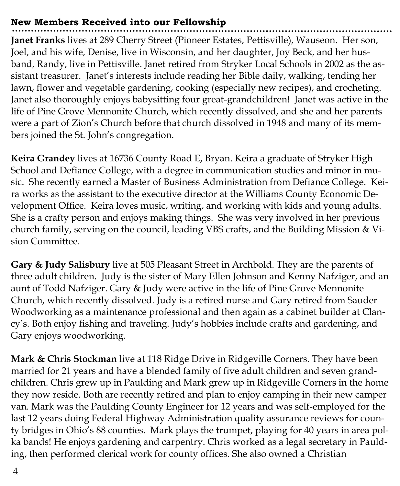#### **New Members Received into our Fellowship**

**Janet Franks** lives at 289 Cherry Street (Pioneer Estates, Pettisville), Wauseon. Her son, Joel, and his wife, Denise, live in Wisconsin, and her daughter, Joy Beck, and her husband, Randy, live in Pettisville. Janet retired from Stryker Local Schools in 2002 as the assistant treasurer. Janet's interests include reading her Bible daily, walking, tending her lawn, flower and vegetable gardening, cooking (especially new recipes), and crocheting. Janet also thoroughly enjoys babysitting four great-grandchildren! Janet was active in the life of Pine Grove Mennonite Church, which recently dissolved, and she and her parents were a part of Zion's Church before that church dissolved in 1948 and many of its members joined the St. John's congregation.

**Keira Grandey** lives at 16736 County Road E, Bryan. Keira a graduate of Stryker High School and Defiance College, with a degree in communication studies and minor in music. She recently earned a Master of Business Administration from Defiance College. Keira works as the assistant to the executive director at the Williams County Economic Development Office. Keira loves music, writing, and working with kids and young adults. She is a crafty person and enjoys making things. She was very involved in her previous church family, serving on the council, leading VBS crafts, and the Building Mission & Vision Committee.

**Gary & Judy Salisbury** live at 505 Pleasant Street in Archbold. They are the parents of three adult children. Judy is the sister of Mary Ellen Johnson and Kenny Nafziger, and an aunt of Todd Nafziger. Gary & Judy were active in the life of Pine Grove Mennonite Church, which recently dissolved. Judy is a retired nurse and Gary retired from Sauder Woodworking as a maintenance professional and then again as a cabinet builder at Clancy's. Both enjoy fishing and traveling. Judy's hobbies include crafts and gardening, and Gary enjoys woodworking.

**Mark & Chris Stockman** live at 118 Ridge Drive in Ridgeville Corners. They have been married for 21 years and have a blended family of five adult children and seven grandchildren. Chris grew up in Paulding and Mark grew up in Ridgeville Corners in the home they now reside. Both are recently retired and plan to enjoy camping in their new camper van. Mark was the Paulding County Engineer for 12 years and was self-employed for the last 12 years doing Federal Highway Administration quality assurance reviews for county bridges in Ohio's 88 counties. Mark plays the trumpet, playing for 40 years in area polka bands! He enjoys gardening and carpentry. Chris worked as a legal secretary in Paulding, then performed clerical work for county offices. She also owned a Christian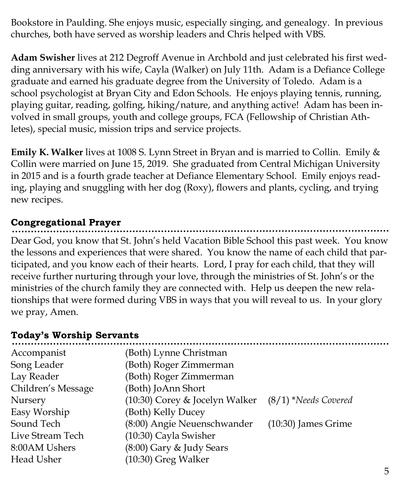Bookstore in Paulding. She enjoys music, especially singing, and genealogy. In previous churches, both have served as worship leaders and Chris helped with VBS.

**Adam Swisher** lives at 212 Degroff Avenue in Archbold and just celebrated his first wedding anniversary with his wife, Cayla (Walker) on July 11th. Adam is a Defiance College graduate and earned his graduate degree from the University of Toledo. Adam is a school psychologist at Bryan City and Edon Schools. He enjoys playing tennis, running, playing guitar, reading, golfing, hiking/nature, and anything active! Adam has been involved in small groups, youth and college groups, FCA (Fellowship of Christian Athletes), special music, mission trips and service projects.

**Emily K. Walker** lives at 1008 S. Lynn Street in Bryan and is married to Collin. Emily & Collin were married on June 15, 2019. She graduated from Central Michigan University in 2015 and is a fourth grade teacher at Defiance Elementary School. Emily enjoys reading, playing and snuggling with her dog (Roxy), flowers and plants, cycling, and trying new recipes.

# **Congregational Prayer**

Dear God, you know that St. John's held Vacation Bible School this past week. You know the lessons and experiences that were shared. You know the name of each child that participated, and you know each of their hearts. Lord, I pray for each child, that they will receive further nurturing through your love, through the ministries of St. John's or the ministries of the church family they are connected with. Help us deepen the new relationships that were formed during VBS in ways that you will reveal to us. In your glory we pray, Amen.

### **Today's Worship Servants**

| Accompanist        | (Both) Lynne Christman                              |                       |
|--------------------|-----------------------------------------------------|-----------------------|
| Song Leader        | (Both) Roger Zimmerman                              |                       |
| Lay Reader         | (Both) Roger Zimmerman                              |                       |
| Children's Message | (Both) JoAnn Short                                  |                       |
| Nursery            | (10:30) Corey & Jocelyn Walker (8/1) *Needs Covered |                       |
| Easy Worship       | (Both) Kelly Ducey                                  |                       |
| Sound Tech         | (8:00) Angie Neuenschwander                         | $(10:30)$ James Grime |
| Live Stream Tech   | $(10:30)$ Cayla Swisher                             |                       |
| 8:00AM Ushers      | (8:00) Gary & Judy Sears                            |                       |
| Head Usher         | $(10:30)$ Greg Walker                               |                       |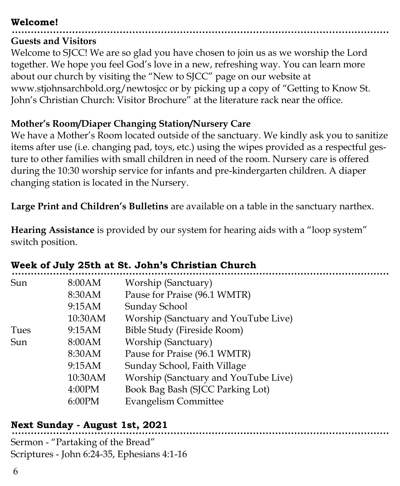#### **Welcome!**

## **Guests and Visitors**

Welcome to SJCC! We are so glad you have chosen to join us as we worship the Lord together. We hope you feel God's love in a new, refreshing way. You can learn more about our church by visiting the "New to SJCC" page on our website at www.stjohnsarchbold.org/newtosjcc or by picking up a copy of "Getting to Know St. John's Christian Church: Visitor Brochure" at the literature rack near the office.

## **Mother's Room/Diaper Changing Station/Nursery Care**

We have a Mother's Room located outside of the sanctuary. We kindly ask you to sanitize items after use (i.e. changing pad, toys, etc.) using the wipes provided as a respectful gesture to other families with small children in need of the room. Nursery care is offered during the 10:30 worship service for infants and pre-kindergarten children. A diaper changing station is located in the Nursery.

**Large Print and Children's Bulletins** are available on a table in the sanctuary narthex.

**Hearing Assistance** is provided by our system for hearing aids with a "loop system" switch position.

| <u>nven oli olli soth ut oti oomni o omnotun onulen</u> |         |                                      |  |
|---------------------------------------------------------|---------|--------------------------------------|--|
| Sun                                                     | 8:00AM  | Worship (Sanctuary)                  |  |
|                                                         | 8:30AM  | Pause for Praise (96.1 WMTR)         |  |
|                                                         | 9:15AM  | Sunday School                        |  |
|                                                         | 10:30AM | Worship (Sanctuary and YouTube Live) |  |
| Tues                                                    | 9:15AM  | Bible Study (Fireside Room)          |  |
| Sun                                                     | 8:00AM  | Worship (Sanctuary)                  |  |
|                                                         | 8:30AM  | Pause for Praise (96.1 WMTR)         |  |
|                                                         | 9:15AM  | Sunday School, Faith Village         |  |
|                                                         | 10:30AM | Worship (Sanctuary and YouTube Live) |  |
|                                                         | 4:00PM  | Book Bag Bash (SJCC Parking Lot)     |  |
|                                                         | 6:00PM  | <b>Evangelism Committee</b>          |  |
|                                                         |         |                                      |  |

# **Week of July 25th at St. John's Christian Church**

# **Next Sunday - August 1st, 2021**

Sermon - "Partaking of the Bread" Scriptures - John 6:24-35, Ephesians 4:1-16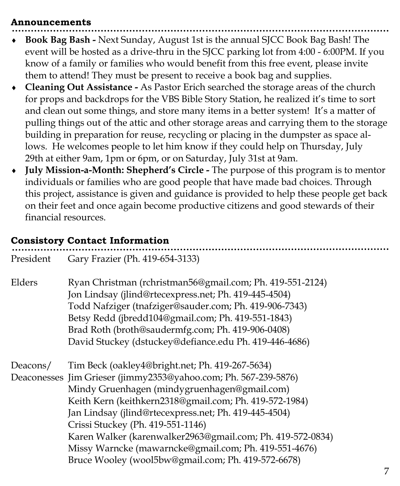#### **Announcements**

- **Book Bag Bash -** Next Sunday, August 1st is the annual SJCC Book Bag Bash! The event will be hosted as a drive-thru in the SJCC parking lot from 4:00 - 6:00PM. If you know of a family or families who would benefit from this free event, please invite them to attend! They must be present to receive a book bag and supplies.
- **Cleaning Out Assistance -** As Pastor Erich searched the storage areas of the church for props and backdrops for the VBS Bible Story Station, he realized it's time to sort and clean out some things, and store many items in a better system! It's a matter of pulling things out of the attic and other storage areas and carrying them to the storage building in preparation for reuse, recycling or placing in the dumpster as space allows. He welcomes people to let him know if they could help on Thursday, July 29th at either 9am, 1pm or 6pm, or on Saturday, July 31st at 9am.
- **July Mission-a-Month: Shepherd's Circle -** The purpose of this program is to mentor individuals or families who are good people that have made bad choices. Through this project, assistance is given and guidance is provided to help these people get back on their feet and once again become productive citizens and good stewards of their financial resources.

#### **Consistory Contact Information**

| President | Gary Frazier (Ph. 419-654-3133)                                                                                                                                                                                                                                                                                                                                                                                                                                                                         |
|-----------|---------------------------------------------------------------------------------------------------------------------------------------------------------------------------------------------------------------------------------------------------------------------------------------------------------------------------------------------------------------------------------------------------------------------------------------------------------------------------------------------------------|
| Elders    | Ryan Christman (rchristman56@gmail.com; Ph. 419-551-2124)<br>Jon Lindsay (jlind@rtecexpress.net; Ph. 419-445-4504)<br>Todd Nafziger (tnafziger@sauder.com; Ph. 419-906-7343)<br>Betsy Redd (jbredd104@gmail.com; Ph. 419-551-1843)<br>Brad Roth (broth@saudermfg.com; Ph. 419-906-0408)<br>David Stuckey (dstuckey@defiance.edu Ph. 419-446-4686)                                                                                                                                                       |
| Deacons/  | Tim Beck (oakley4@bright.net; Ph. 419-267-5634)<br>Deaconesses Jim Grieser (jimmy2353@yahoo.com; Ph. 567-239-5876)<br>Mindy Gruenhagen (mindygruenhagen@gmail.com)<br>Keith Kern (keithkern2318@gmail.com; Ph. 419-572-1984)<br>Jan Lindsay (jlind@rtecexpress.net; Ph. 419-445-4504)<br>Crissi Stuckey (Ph. 419-551-1146)<br>Karen Walker (karenwalker2963@gmail.com; Ph. 419-572-0834)<br>Missy Warncke (mawarncke@gmail.com; Ph. 419-551-4676)<br>Bruce Wooley (wool5bw@gmail.com; Ph. 419-572-6678) |